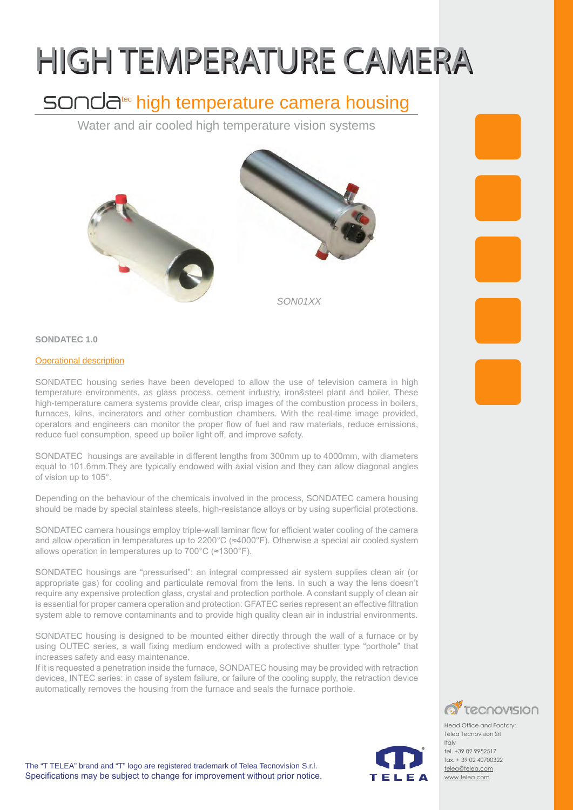# HIGH TEMPERATURE CAMERA

## sonda<sup>tec</sup> high temperature camera housing

Water and air cooled high temperature vision systems





*SON01XX*

#### **SONDATEC 1.0**

#### **Operational description**

SONDATEC housing series have been developed to allow the use of television camera in high temperature environments, as glass process, cement industry, iron&steel plant and boiler. These high-temperature camera systems provide clear, crisp images of the combustion process in boilers, furnaces, kilns, incinerators and other combustion chambers. With the real-time image provided, operators and engineers can monitor the proper flow of fuel and raw materials, reduce emissions, reduce fuel consumption, speed up boiler light off, and improve safety.

SONDATEC housings are available in different lengths from 300mm up to 4000mm, with diameters equal to 101.6mm.They are typically endowed with axial vision and they can allow diagonal angles of vision up to 105°.

Depending on the behaviour of the chemicals involved in the process, SONDATEC camera housing should be made by special stainless steels, high-resistance alloys or by using superficial protections.

SONDATEC camera housings employ triple-wall laminar flow for efficient water cooling of the camera and allow operation in temperatures up to 2200°C (≈4000°F). Otherwise a special air cooled system allows operation in temperatures up to 700°C (≈1300°F).

SONDATEC housings are "pressurised": an integral compressed air system supplies clean air (or appropriate gas) for cooling and particulate removal from the lens. In such a way the lens doesn't require any expensive protection glass, crystal and protection porthole. A constant supply of clean air is essential for proper camera operation and protection: GFATEC series represent an effective filtration system able to remove contaminants and to provide high quality clean air in industrial environments.

SONDATEC housing is designed to be mounted either directly through the wall of a furnace or by using OUTEC series, a wall fixing medium endowed with a protective shutter type "porthole" that increases safety and easy maintenance.

If it is requested a penetration inside the furnace, SONDATEC housing may be provided with retraction devices, INTEC series: in case of system failure, or failure of the cooling supply, the retraction device automatically removes the housing from the furnace and seals the furnace porthole.



Head Office and Factory: Telea Tecnovision Srl Italy tel. +39 02 9952517 fax. + 39 02 40700322 telea@telea.com www.telea.com

TEI EA

The "T TELEA" brand and "T" logo are registered trademark of Telea Tecnovision S.r.l. Specifications may be subject to change for improvement without prior notice.